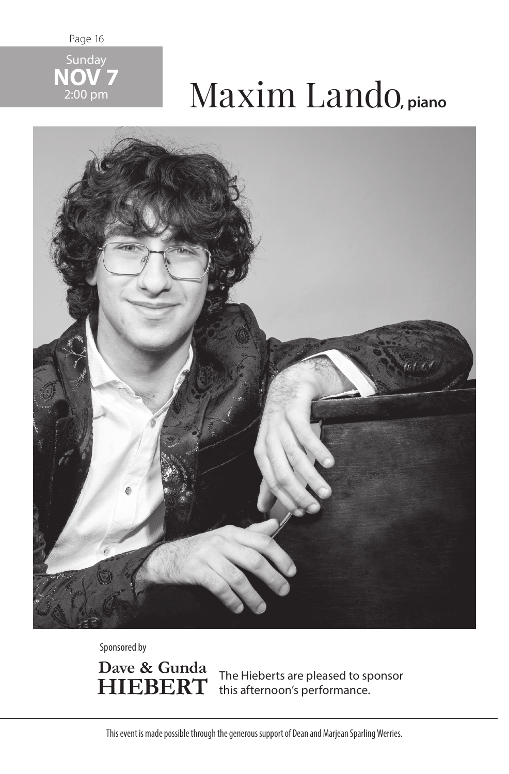Page 16



## 2:00 pm Maxim Lando**, piano**



Sponsored by

Dave & Gunda **HIEBERT** 

The Hieberts are pleased to sponsor this afternoon's performance.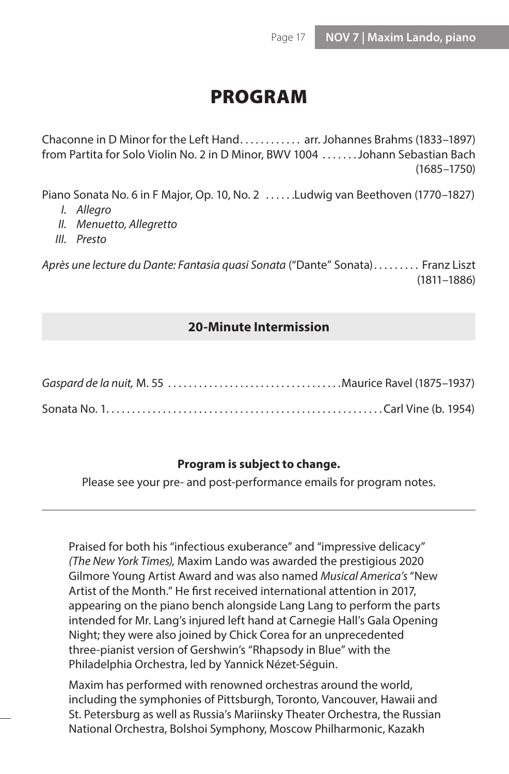## PROGRAM

Chaconne in D Minor for the Left Hand . . . . . . . . . . . arr. Johannes Brahms (1833–1897) from Partita for Solo Violin No. 2 in D Minor, BWV 1004 . . . . . . . Johann Sebastian Bach (1685–1750)

Piano Sonata No. 6 in F Major, Op. 10, No. 2 .....Ludwig van Beethoven (1770–1827)

- *I. Allegro*
- *II. Menuetto, Allegretto*
- *III. Presto*

Après une lecture du Dante: Fantasia quasi Sonata ("Dante" Sonata) . . . . . . . . . Franz Liszt (1811–1886)

## **20-Minute Intermission**

## **Program is subject to change.**

Please see your pre- and post-performance emails for program notes.

Praised for both his "infectious exuberance" and "impressive delicacy" *(The New York Times),* Maxim Lando was awarded the prestigious 2020 Gilmore Young Artist Award and was also named *Musical America's* "New Artist of the Month." He first received international attention in 2017, appearing on the piano bench alongside Lang Lang to perform the parts intended for Mr. Lang's injured left hand at Carnegie Hall's Gala Opening Night; they were also joined by Chick Corea for an unprecedented three-pianist version of Gershwin's "Rhapsody in Blue" with the Philadelphia Orchestra, led by Yannick Nézet-Séguin.

Maxim has performed with renowned orchestras around the world, including the symphonies of Pittsburgh, Toronto, Vancouver, Hawaii and St. Petersburg as well as Russia's Mariinsky Theater Orchestra, the Russian National Orchestra, Bolshoi Symphony, Moscow Philharmonic, Kazakh